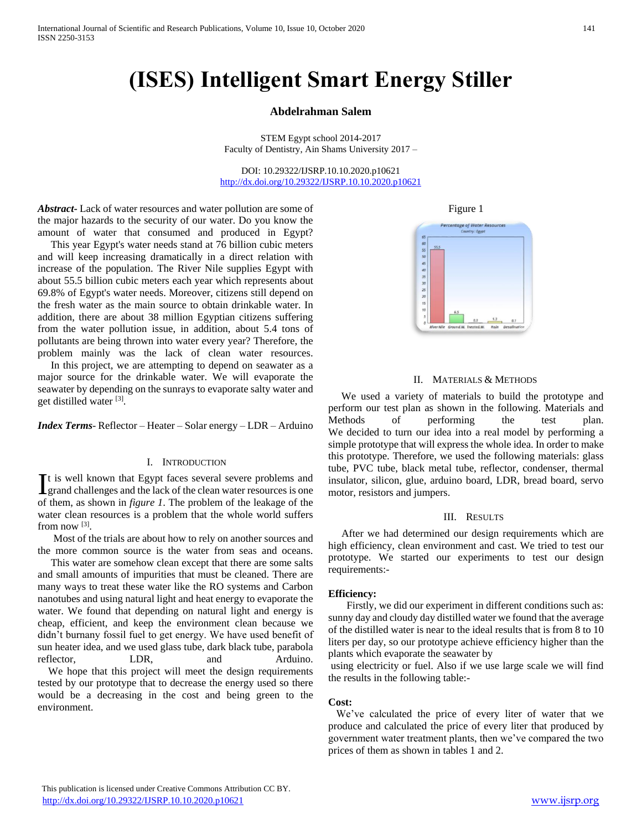# **(ISES) Intelligent Smart Energy Stiller**

## **Abdelrahman Salem**

STEM Egypt school 2014-2017 Faculty of Dentistry, Ain Shams University 2017 –

DOI: 10.29322/IJSRP.10.10.2020.p10621 <http://dx.doi.org/10.29322/IJSRP.10.10.2020.p10621>

*Abstract***-** Lack of water resources and water pollution are some of the major hazards to the security of our water. Do you know the amount of water that consumed and produced in Egypt?

 This year Egypt's water needs stand at 76 billion cubic meters and will keep increasing dramatically in a direct relation with increase of the population. The River Nile supplies Egypt with about 55.5 billion cubic meters each year which represents about 69.8% of Egypt's water needs. Moreover, citizens still depend on the fresh water as the main source to obtain drinkable water. In addition, there are about 38 million Egyptian citizens suffering from the water pollution issue, in addition, about 5.4 tons of pollutants are being thrown into water every year? Therefore, the problem mainly was the lack of clean water resources.

 In this project, we are attempting to depend on seawater as a major source for the drinkable water. We will evaporate the seawater by depending on the sunrays to evaporate salty water and get distilled water [3].

*Index Terms*- Reflector – Heater – Solar energy – LDR – Arduino

## I. INTRODUCTION

t is well known that Egypt faces several severe problems and It is well known that Egypt faces several severe problems and grand challenges and the lack of the clean water resources is one of them, as shown in *figure 1*. The problem of the leakage of the water clean resources is a problem that the whole world suffers from now [3].

 Most of the trials are about how to rely on another sources and the more common source is the water from seas and oceans.

 This water are somehow clean except that there are some salts and small amounts of impurities that must be cleaned. There are many ways to treat these water like the RO systems and Carbon nanotubes and using natural light and heat energy to evaporate the water. We found that depending on natural light and energy is cheap, efficient, and keep the environment clean because we didn't burnany fossil fuel to get energy. We have used benefit of sun heater idea, and we used glass tube, dark black tube, parabola reflector, LDR, and Arduino. We hope that this project will meet the design requirements

tested by our prototype that to decrease the energy used so there would be a decreasing in the cost and being green to the environment.

Figure 1



## II. MATERIALS & METHODS

 We used a variety of materials to build the prototype and perform our test plan as shown in the following. Materials and Methods of performing the test plan. We decided to turn our idea into a real model by performing a simple prototype that will express the whole idea. In order to make this prototype. Therefore, we used the following materials: glass tube, PVC tube, black metal tube, reflector, condenser, thermal insulator, silicon, glue, arduino board, LDR, bread board, servo motor, resistors and jumpers.

## III. RESULTS

 After we had determined our design requirements which are high efficiency, clean environment and cast. We tried to test our prototype. We started our experiments to test our design requirements:-

#### **Efficiency:**

 Firstly, we did our experiment in different conditions such as: sunny day and cloudy day distilled water we found that the average of the distilled water is near to the ideal results that is from 8 to 10 liters per day, so our prototype achieve efficiency higher than the plants which evaporate the seawater by

using electricity or fuel. Also if we use large scale we will find the results in the following table:-

## **Cost:**

 We've calculated the price of every liter of water that we produce and calculated the price of every liter that produced by government water treatment plants, then we've compared the two prices of them as shown in tables 1 and 2.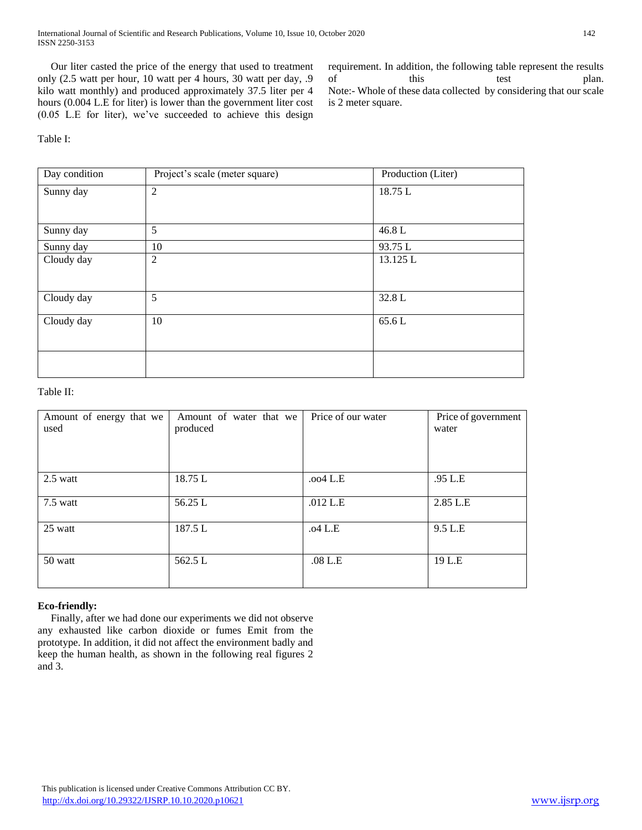International Journal of Scientific and Research Publications, Volume 10, Issue 10, October 2020 142 ISSN 2250-3153

 Our liter casted the price of the energy that used to treatment only (2.5 watt per hour, 10 watt per 4 hours, 30 watt per day, .9 kilo watt monthly) and produced approximately 37.5 liter per 4 hours (0.004 L.E for liter) is lower than the government liter cost (0.05 L.E for liter), we've succeeded to achieve this design requirement. In addition, the following table represent the results of this test plan. Note:- Whole of these data collected by considering that our scale is 2 meter square.

# Table I:

| Day condition | Project's scale (meter square) | Production (Liter) |  |
|---------------|--------------------------------|--------------------|--|
| Sunny day     | $\mathfrak{2}$                 | 18.75L             |  |
|               |                                |                    |  |
| Sunny day     | 5                              | 46.8L              |  |
| Sunny day     | 10                             | 93.75L             |  |
| Cloudy day    | 2                              | 13.125 L           |  |
|               |                                |                    |  |
| Cloudy day    | 5                              | 32.8L              |  |
| Cloudy day    | 10                             | 65.6L              |  |
|               |                                |                    |  |
|               |                                |                    |  |
|               |                                |                    |  |

Table II:

| Amount of energy that we<br>used | Amount of water that we<br>produced | Price of our water | Price of government<br>water |
|----------------------------------|-------------------------------------|--------------------|------------------------------|
| $2.5$ watt                       | 18.75 L                             | $.004$ L.E         | .95 L.E                      |
| 7.5 watt                         | 56.25 L                             | $.012$ L.E         | 2.85 L.E                     |
| 25 watt                          | 187.5L                              | .04 L.E            | 9.5 L.E                      |
| 50 watt                          | 562.5 L                             | .08 L.E            | 19 L.E                       |

## **Eco-friendly:**

 Finally, after we had done our experiments we did not observe any exhausted like carbon dioxide or fumes Emit from the prototype. In addition, it did not affect the environment badly and keep the human health, as shown in the following real figures 2 and 3.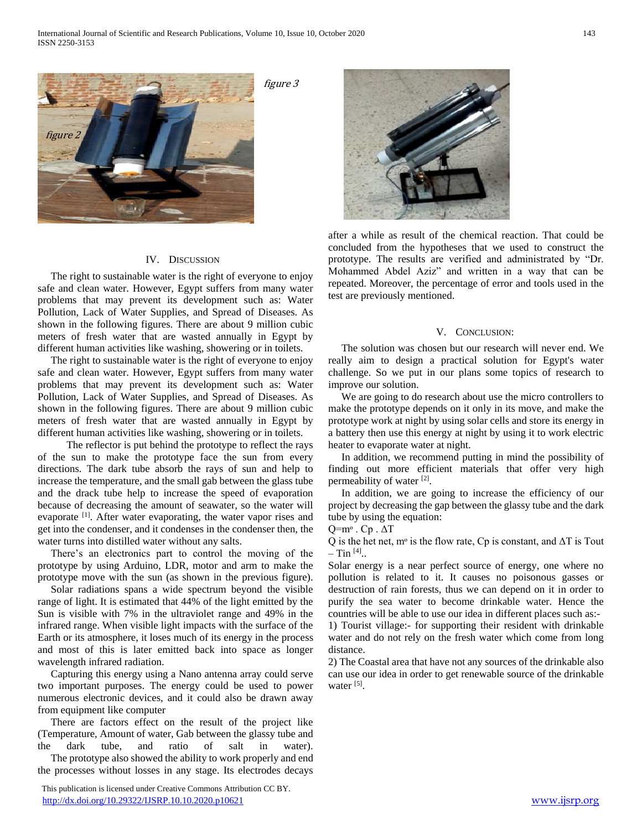

## IV. DISCUSSION

 The right to sustainable water is the right of everyone to enjoy safe and clean water. However, Egypt suffers from many water problems that may prevent its development such as: Water Pollution, Lack of Water Supplies, and Spread of Diseases. As shown in the following figures. There are about 9 million cubic meters of fresh water that are wasted annually in Egypt by different human activities like washing, showering or in toilets.

 The right to sustainable water is the right of everyone to enjoy safe and clean water. However, Egypt suffers from many water problems that may prevent its development such as: Water Pollution, Lack of Water Supplies, and Spread of Diseases. As shown in the following figures. There are about 9 million cubic meters of fresh water that are wasted annually in Egypt by different human activities like washing, showering or in toilets.

 The reflector is put behind the prototype to reflect the rays of the sun to make the prototype face the sun from every directions. The dark tube absorb the rays of sun and help to increase the temperature, and the small gab between the glass tube and the drack tube help to increase the speed of evaporation because of decreasing the amount of seawater, so the water will evaporate <sup>[1]</sup>. After water evaporating, the water vapor rises and get into the condenser, and it condenses in the condenser then, the water turns into distilled water without any salts.

 There's an electronics part to control the moving of the prototype by using Arduino, LDR, motor and arm to make the prototype move with the sun (as shown in the previous figure).

 Solar radiations spans a wide spectrum beyond the visible range of light. It is estimated that 44% of the light emitted by the Sun is visible with 7% in the ultraviolet range and 49% in the infrared range. When visible light impacts with the surface of the Earth or its atmosphere, it loses much of its energy in the process and most of this is later emitted back into space as longer wavelength infrared radiation.

 Capturing this energy using a Nano antenna array could serve two important purposes. The energy could be used to power numerous electronic devices, and it could also be drawn away from equipment like computer

 There are factors effect on the result of the project like (Temperature, Amount of water, Gab between the glassy tube and the dark tube, and ratio of salt in water). The prototype also showed the ability to work properly and end

the processes without losses in any stage. Its electrodes decays

 This publication is licensed under Creative Commons Attribution CC BY. <http://dx.doi.org/10.29322/IJSRP.10.10.2020.p10621> [www.ijsrp.org](http://ijsrp.org/)



after a while as result of the chemical reaction. That could be concluded from the hypotheses that we used to construct the prototype. The results are verified and administrated by "Dr. Mohammed Abdel Aziz" and written in a way that can be repeated. Moreover, the percentage of error and tools used in the test are previously mentioned.

### V. CONCLUSION:

 The solution was chosen but our research will never end. We really aim to design a practical solution for Egypt's water challenge. So we put in our plans some topics of research to improve our solution.

 We are going to do research about use the micro controllers to make the prototype depends on it only in its move, and make the prototype work at night by using solar cells and store its energy in a battery then use this energy at night by using it to work electric heater to evaporate water at night.

 In addition, we recommend putting in mind the possibility of finding out more efficient materials that offer very high permeability of water [2].

 In addition, we are going to increase the efficiency of our project by decreasing the gap between the glassy tube and the dark tube by using the equation:

 $Q=$ m<sup>o</sup>. Cp.  $\Delta T$ 

Q is the het net, m<sup>o</sup> is the flow rate, Cp is constant, and  $\Delta T$  is Tout  $-$  Tin  $^{[4]}$ ..

Solar energy is a near perfect source of energy, one where no pollution is related to it. It causes no poisonous gasses or destruction of rain forests, thus we can depend on it in order to purify the sea water to become drinkable water. Hence the countries will be able to use our idea in different places such as:-

1) Tourist village:- for supporting their resident with drinkable water and do not rely on the fresh water which come from long distance.

2) The Coastal area that have not any sources of the drinkable also can use our idea in order to get renewable source of the drinkable water [5].